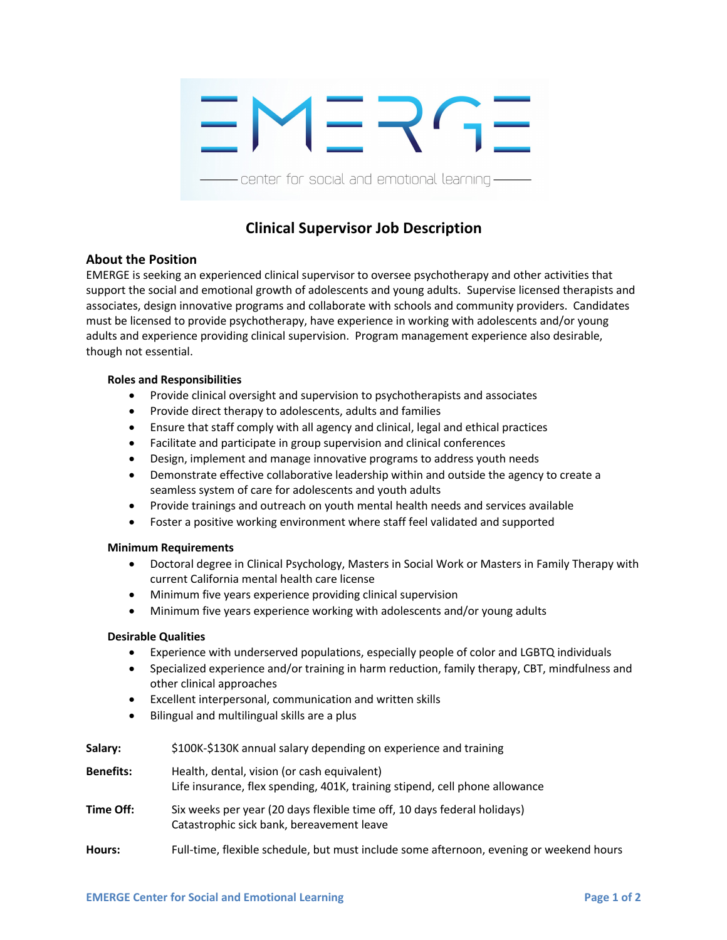

# **Clinical Supervisor Job Description**

## **About the Position**

EMERGE is seeking an experienced clinical supervisor to oversee psychotherapy and other activities that support the social and emotional growth of adolescents and young adults. Supervise licensed therapists and associates, design innovative programs and collaborate with schools and community providers. Candidates must be licensed to provide psychotherapy, have experience in working with adolescents and/or young adults and experience providing clinical supervision. Program management experience also desirable, though not essential.

#### **Roles and Responsibilities**

- Provide clinical oversight and supervision to psychotherapists and associates
- Provide direct therapy to adolescents, adults and families
- Ensure that staff comply with all agency and clinical, legal and ethical practices
- Facilitate and participate in group supervision and clinical conferences
- Design, implement and manage innovative programs to address youth needs
- Demonstrate effective collaborative leadership within and outside the agency to create a seamless system of care for adolescents and youth adults
- Provide trainings and outreach on youth mental health needs and services available
- Foster a positive working environment where staff feel validated and supported

### **Minimum Requirements**

- Doctoral degree in Clinical Psychology, Masters in Social Work or Masters in Family Therapy with current California mental health care license
- Minimum five years experience providing clinical supervision
- Minimum five years experience working with adolescents and/or young adults

### **Desirable Qualities**

- Experience with underserved populations, especially people of color and LGBTQ individuals
- Specialized experience and/or training in harm reduction, family therapy, CBT, mindfulness and other clinical approaches
- Excellent interpersonal, communication and written skills
- Bilingual and multilingual skills are a plus

| Salary:          | \$100K-\$130K annual salary depending on experience and training                                                           |
|------------------|----------------------------------------------------------------------------------------------------------------------------|
| <b>Benefits:</b> | Health, dental, vision (or cash equivalent)<br>Life insurance, flex spending, 401K, training stipend, cell phone allowance |
| Time Off:        | Six weeks per year (20 days flexible time off, 10 days federal holidays)<br>Catastrophic sick bank, bereavement leave      |
| Hours:           | Full-time, flexible schedule, but must include some afternoon, evening or weekend hours                                    |